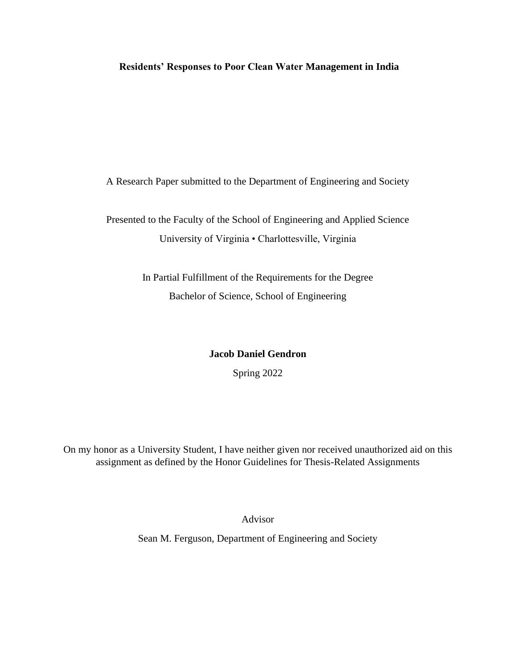# **Residents' Responses to Poor Clean Water Management in India**

A Research Paper submitted to the Department of Engineering and Society

Presented to the Faculty of the School of Engineering and Applied Science University of Virginia • Charlottesville, Virginia

> In Partial Fulfillment of the Requirements for the Degree Bachelor of Science, School of Engineering

## **Jacob Daniel Gendron**

Spring 2022

On my honor as a University Student, I have neither given nor received unauthorized aid on this assignment as defined by the Honor Guidelines for Thesis-Related Assignments

Advisor

Sean M. Ferguson, Department of Engineering and Society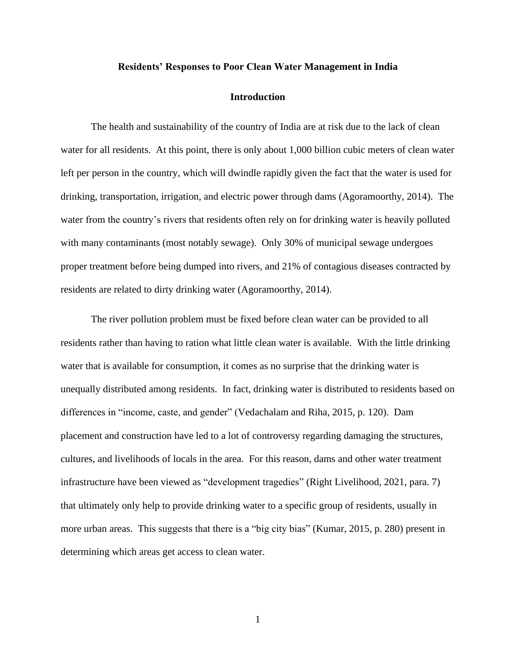### **Residents' Responses to Poor Clean Water Management in India**

#### **Introduction**

The health and sustainability of the country of India are at risk due to the lack of clean water for all residents. At this point, there is only about 1,000 billion cubic meters of clean water left per person in the country, which will dwindle rapidly given the fact that the water is used for drinking, transportation, irrigation, and electric power through dams (Agoramoorthy, 2014). The water from the country's rivers that residents often rely on for drinking water is heavily polluted with many contaminants (most notably sewage). Only 30% of municipal sewage undergoes proper treatment before being dumped into rivers, and 21% of contagious diseases contracted by residents are related to dirty drinking water (Agoramoorthy, 2014).

The river pollution problem must be fixed before clean water can be provided to all residents rather than having to ration what little clean water is available. With the little drinking water that is available for consumption, it comes as no surprise that the drinking water is unequally distributed among residents. In fact, drinking water is distributed to residents based on differences in "income, caste, and gender" (Vedachalam and Riha, 2015, p. 120). Dam placement and construction have led to a lot of controversy regarding damaging the structures, cultures, and livelihoods of locals in the area. For this reason, dams and other water treatment infrastructure have been viewed as "development tragedies" (Right Livelihood, 2021, para. 7) that ultimately only help to provide drinking water to a specific group of residents, usually in more urban areas. This suggests that there is a "big city bias" (Kumar, 2015, p. 280) present in determining which areas get access to clean water.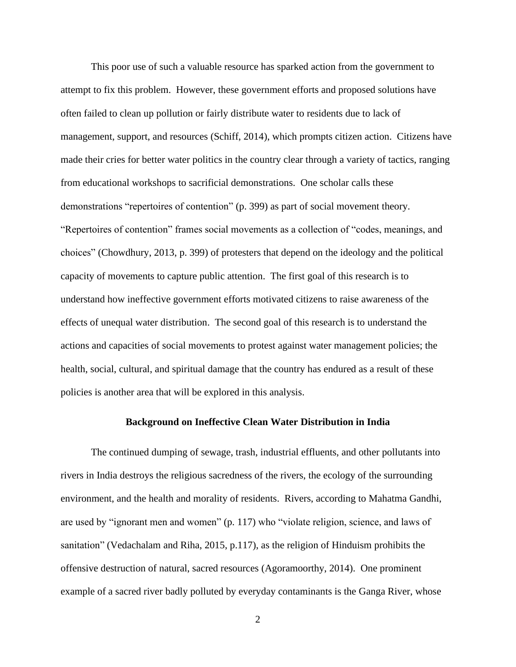This poor use of such a valuable resource has sparked action from the government to attempt to fix this problem. However, these government efforts and proposed solutions have often failed to clean up pollution or fairly distribute water to residents due to lack of management, support, and resources (Schiff, 2014), which prompts citizen action. Citizens have made their cries for better water politics in the country clear through a variety of tactics, ranging from educational workshops to sacrificial demonstrations. One scholar calls these demonstrations "repertoires of contention" (p. 399) as part of social movement theory. "Repertoires of contention" frames social movements as a collection of "codes, meanings, and choices" (Chowdhury, 2013, p. 399) of protesters that depend on the ideology and the political capacity of movements to capture public attention. The first goal of this research is to understand how ineffective government efforts motivated citizens to raise awareness of the effects of unequal water distribution. The second goal of this research is to understand the actions and capacities of social movements to protest against water management policies; the health, social, cultural, and spiritual damage that the country has endured as a result of these policies is another area that will be explored in this analysis.

### **Background on Ineffective Clean Water Distribution in India**

The continued dumping of sewage, trash, industrial effluents, and other pollutants into rivers in India destroys the religious sacredness of the rivers, the ecology of the surrounding environment, and the health and morality of residents. Rivers, according to Mahatma Gandhi, are used by "ignorant men and women" (p. 117) who "violate religion, science, and laws of sanitation" (Vedachalam and Riha, 2015, p.117), as the religion of Hinduism prohibits the offensive destruction of natural, sacred resources (Agoramoorthy, 2014). One prominent example of a sacred river badly polluted by everyday contaminants is the Ganga River, whose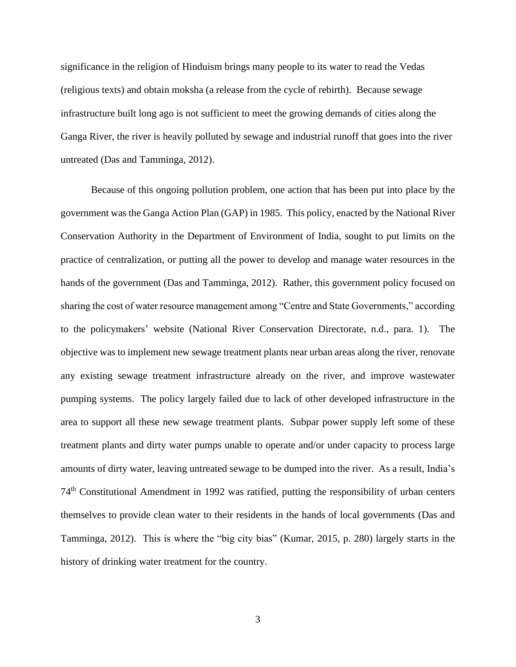significance in the religion of Hinduism brings many people to its water to read the Vedas (religious texts) and obtain moksha (a release from the cycle of rebirth). Because sewage infrastructure built long ago is not sufficient to meet the growing demands of cities along the Ganga River, the river is heavily polluted by sewage and industrial runoff that goes into the river untreated (Das and Tamminga, 2012).

Because of this ongoing pollution problem, one action that has been put into place by the government was the Ganga Action Plan (GAP) in 1985. This policy, enacted by the National River Conservation Authority in the Department of Environment of India, sought to put limits on the practice of centralization, or putting all the power to develop and manage water resources in the hands of the government (Das and Tamminga, 2012). Rather, this government policy focused on sharing the cost of water resource management among "Centre and State Governments," according to the policymakers' website (National River Conservation Directorate, n.d., para. 1). The objective was to implement new sewage treatment plants near urban areas along the river, renovate any existing sewage treatment infrastructure already on the river, and improve wastewater pumping systems. The policy largely failed due to lack of other developed infrastructure in the area to support all these new sewage treatment plants. Subpar power supply left some of these treatment plants and dirty water pumps unable to operate and/or under capacity to process large amounts of dirty water, leaving untreated sewage to be dumped into the river. As a result, India's 74th Constitutional Amendment in 1992 was ratified, putting the responsibility of urban centers themselves to provide clean water to their residents in the hands of local governments (Das and Tamminga, 2012). This is where the "big city bias" (Kumar, 2015, p. 280) largely starts in the history of drinking water treatment for the country.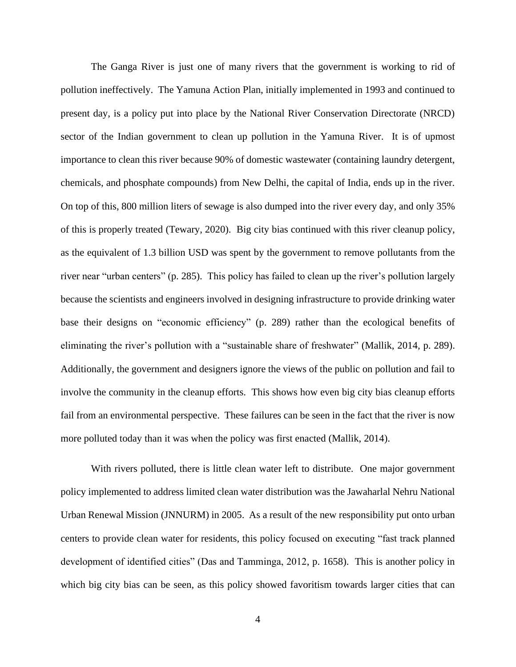The Ganga River is just one of many rivers that the government is working to rid of pollution ineffectively. The Yamuna Action Plan, initially implemented in 1993 and continued to present day, is a policy put into place by the National River Conservation Directorate (NRCD) sector of the Indian government to clean up pollution in the Yamuna River. It is of upmost importance to clean this river because 90% of domestic wastewater (containing laundry detergent, chemicals, and phosphate compounds) from New Delhi, the capital of India, ends up in the river. On top of this, 800 million liters of sewage is also dumped into the river every day, and only 35% of this is properly treated (Tewary, 2020). Big city bias continued with this river cleanup policy, as the equivalent of 1.3 billion USD was spent by the government to remove pollutants from the river near "urban centers" (p. 285). This policy has failed to clean up the river's pollution largely because the scientists and engineers involved in designing infrastructure to provide drinking water base their designs on "economic efficiency" (p. 289) rather than the ecological benefits of eliminating the river's pollution with a "sustainable share of freshwater" (Mallik, 2014, p. 289). Additionally, the government and designers ignore the views of the public on pollution and fail to involve the community in the cleanup efforts. This shows how even big city bias cleanup efforts fail from an environmental perspective. These failures can be seen in the fact that the river is now more polluted today than it was when the policy was first enacted (Mallik, 2014).

With rivers polluted, there is little clean water left to distribute. One major government policy implemented to address limited clean water distribution was the Jawaharlal Nehru National Urban Renewal Mission (JNNURM) in 2005. As a result of the new responsibility put onto urban centers to provide clean water for residents, this policy focused on executing "fast track planned development of identified cities" (Das and Tamminga, 2012, p. 1658). This is another policy in which big city bias can be seen, as this policy showed favoritism towards larger cities that can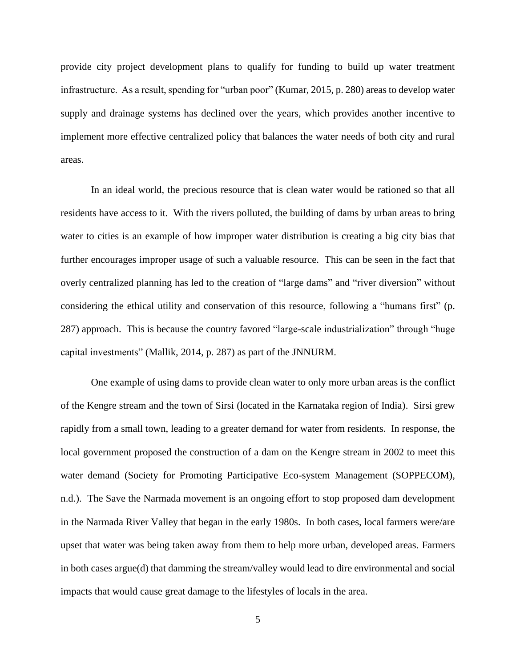provide city project development plans to qualify for funding to build up water treatment infrastructure. As a result, spending for "urban poor" (Kumar, 2015, p. 280) areas to develop water supply and drainage systems has declined over the years, which provides another incentive to implement more effective centralized policy that balances the water needs of both city and rural areas.

In an ideal world, the precious resource that is clean water would be rationed so that all residents have access to it. With the rivers polluted, the building of dams by urban areas to bring water to cities is an example of how improper water distribution is creating a big city bias that further encourages improper usage of such a valuable resource. This can be seen in the fact that overly centralized planning has led to the creation of "large dams" and "river diversion" without considering the ethical utility and conservation of this resource, following a "humans first" (p. 287) approach. This is because the country favored "large-scale industrialization" through "huge capital investments" (Mallik, 2014, p. 287) as part of the JNNURM.

One example of using dams to provide clean water to only more urban areas is the conflict of the Kengre stream and the town of Sirsi (located in the Karnataka region of India). Sirsi grew rapidly from a small town, leading to a greater demand for water from residents. In response, the local government proposed the construction of a dam on the Kengre stream in 2002 to meet this water demand (Society for Promoting Participative Eco-system Management (SOPPECOM), n.d.). The Save the Narmada movement is an ongoing effort to stop proposed dam development in the Narmada River Valley that began in the early 1980s. In both cases, local farmers were/are upset that water was being taken away from them to help more urban, developed areas. Farmers in both cases argue(d) that damming the stream/valley would lead to dire environmental and social impacts that would cause great damage to the lifestyles of locals in the area.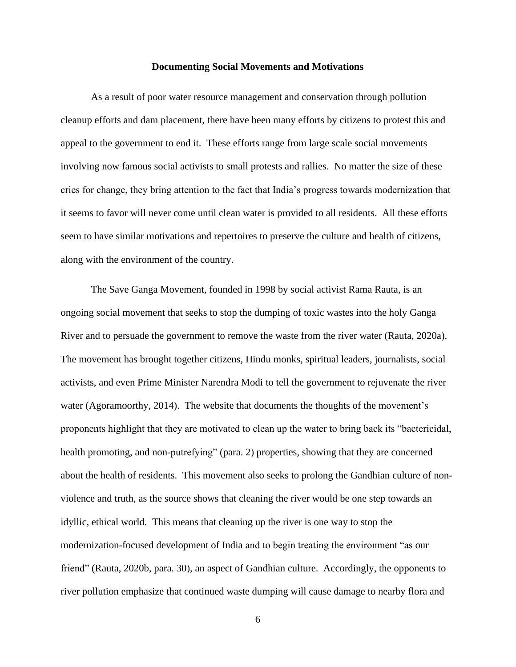#### **Documenting Social Movements and Motivations**

As a result of poor water resource management and conservation through pollution cleanup efforts and dam placement, there have been many efforts by citizens to protest this and appeal to the government to end it. These efforts range from large scale social movements involving now famous social activists to small protests and rallies. No matter the size of these cries for change, they bring attention to the fact that India's progress towards modernization that it seems to favor will never come until clean water is provided to all residents. All these efforts seem to have similar motivations and repertoires to preserve the culture and health of citizens, along with the environment of the country.

The Save Ganga Movement, founded in 1998 by social activist Rama Rauta, is an ongoing social movement that seeks to stop the dumping of toxic wastes into the holy Ganga River and to persuade the government to remove the waste from the river water (Rauta, 2020a). The movement has brought together citizens, Hindu monks, spiritual leaders, journalists, social activists, and even Prime Minister Narendra Modi to tell the government to rejuvenate the river water (Agoramoorthy, 2014). The website that documents the thoughts of the movement's proponents highlight that they are motivated to clean up the water to bring back its "bactericidal, health promoting, and non-putrefying" (para. 2) properties, showing that they are concerned about the health of residents. This movement also seeks to prolong the Gandhian culture of nonviolence and truth, as the source shows that cleaning the river would be one step towards an idyllic, ethical world. This means that cleaning up the river is one way to stop the modernization-focused development of India and to begin treating the environment "as our friend" (Rauta, 2020b, para. 30), an aspect of Gandhian culture. Accordingly, the opponents to river pollution emphasize that continued waste dumping will cause damage to nearby flora and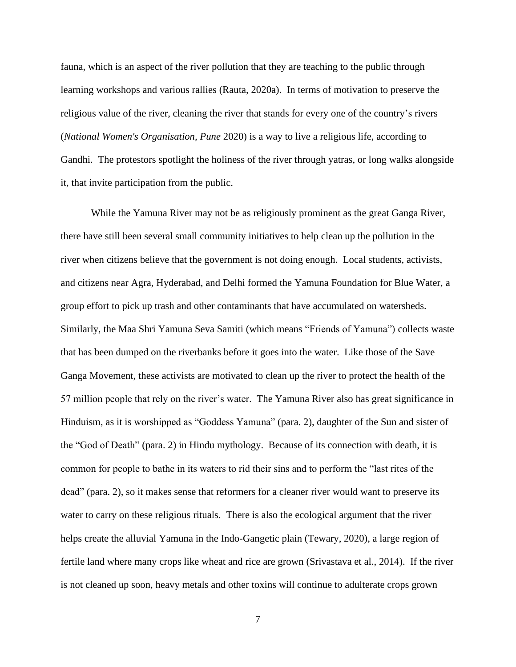fauna, which is an aspect of the river pollution that they are teaching to the public through learning workshops and various rallies (Rauta, 2020a). In terms of motivation to preserve the religious value of the river, cleaning the river that stands for every one of the country's rivers (*National Women's Organisation, Pune* 2020) is a way to live a religious life, according to Gandhi. The protestors spotlight the holiness of the river through yatras, or long walks alongside it, that invite participation from the public.

While the Yamuna River may not be as religiously prominent as the great Ganga River, there have still been several small community initiatives to help clean up the pollution in the river when citizens believe that the government is not doing enough. Local students, activists, and citizens near Agra, Hyderabad, and Delhi formed the Yamuna Foundation for Blue Water, a group effort to pick up trash and other contaminants that have accumulated on watersheds. Similarly, the Maa Shri Yamuna Seva Samiti (which means "Friends of Yamuna") collects waste that has been dumped on the riverbanks before it goes into the water. Like those of the Save Ganga Movement, these activists are motivated to clean up the river to protect the health of the 57 million people that rely on the river's water. The Yamuna River also has great significance in Hinduism, as it is worshipped as "Goddess Yamuna" (para. 2), daughter of the Sun and sister of the "God of Death" (para. 2) in Hindu mythology. Because of its connection with death, it is common for people to bathe in its waters to rid their sins and to perform the "last rites of the dead" (para. 2), so it makes sense that reformers for a cleaner river would want to preserve its water to carry on these religious rituals. There is also the ecological argument that the river helps create the alluvial Yamuna in the Indo-Gangetic plain (Tewary, 2020), a large region of fertile land where many crops like wheat and rice are grown (Srivastava et al., 2014). If the river is not cleaned up soon, heavy metals and other toxins will continue to adulterate crops grown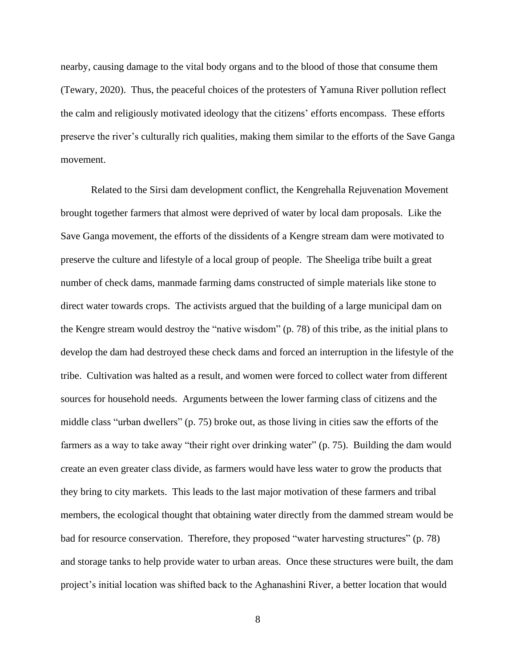nearby, causing damage to the vital body organs and to the blood of those that consume them (Tewary, 2020). Thus, the peaceful choices of the protesters of Yamuna River pollution reflect the calm and religiously motivated ideology that the citizens' efforts encompass. These efforts preserve the river's culturally rich qualities, making them similar to the efforts of the Save Ganga movement.

Related to the Sirsi dam development conflict, the Kengrehalla Rejuvenation Movement brought together farmers that almost were deprived of water by local dam proposals. Like the Save Ganga movement, the efforts of the dissidents of a Kengre stream dam were motivated to preserve the culture and lifestyle of a local group of people. The Sheeliga tribe built a great number of check dams, manmade farming dams constructed of simple materials like stone to direct water towards crops. The activists argued that the building of a large municipal dam on the Kengre stream would destroy the "native wisdom" (p. 78) of this tribe, as the initial plans to develop the dam had destroyed these check dams and forced an interruption in the lifestyle of the tribe. Cultivation was halted as a result, and women were forced to collect water from different sources for household needs. Arguments between the lower farming class of citizens and the middle class "urban dwellers" (p. 75) broke out, as those living in cities saw the efforts of the farmers as a way to take away "their right over drinking water" (p. 75). Building the dam would create an even greater class divide, as farmers would have less water to grow the products that they bring to city markets. This leads to the last major motivation of these farmers and tribal members, the ecological thought that obtaining water directly from the dammed stream would be bad for resource conservation. Therefore, they proposed "water harvesting structures" (p. 78) and storage tanks to help provide water to urban areas. Once these structures were built, the dam project's initial location was shifted back to the Aghanashini River, a better location that would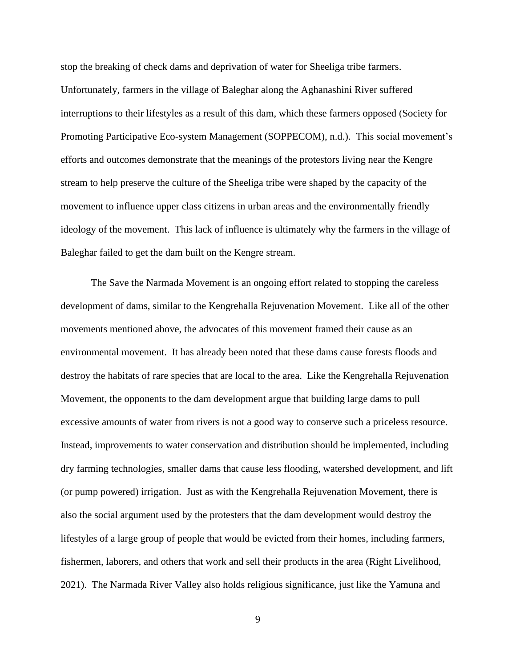stop the breaking of check dams and deprivation of water for Sheeliga tribe farmers. Unfortunately, farmers in the village of Baleghar along the Aghanashini River suffered interruptions to their lifestyles as a result of this dam, which these farmers opposed (Society for Promoting Participative Eco-system Management (SOPPECOM), n.d.). This social movement's efforts and outcomes demonstrate that the meanings of the protestors living near the Kengre stream to help preserve the culture of the Sheeliga tribe were shaped by the capacity of the movement to influence upper class citizens in urban areas and the environmentally friendly ideology of the movement. This lack of influence is ultimately why the farmers in the village of Baleghar failed to get the dam built on the Kengre stream.

The Save the Narmada Movement is an ongoing effort related to stopping the careless development of dams, similar to the Kengrehalla Rejuvenation Movement. Like all of the other movements mentioned above, the advocates of this movement framed their cause as an environmental movement. It has already been noted that these dams cause forests floods and destroy the habitats of rare species that are local to the area. Like the Kengrehalla Rejuvenation Movement, the opponents to the dam development argue that building large dams to pull excessive amounts of water from rivers is not a good way to conserve such a priceless resource. Instead, improvements to water conservation and distribution should be implemented, including dry farming technologies, smaller dams that cause less flooding, watershed development, and lift (or pump powered) irrigation. Just as with the Kengrehalla Rejuvenation Movement, there is also the social argument used by the protesters that the dam development would destroy the lifestyles of a large group of people that would be evicted from their homes, including farmers, fishermen, laborers, and others that work and sell their products in the area (Right Livelihood, 2021). The Narmada River Valley also holds religious significance, just like the Yamuna and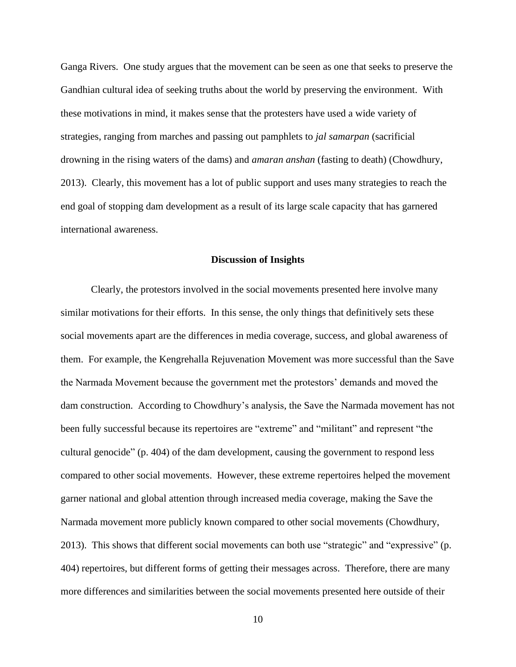Ganga Rivers. One study argues that the movement can be seen as one that seeks to preserve the Gandhian cultural idea of seeking truths about the world by preserving the environment. With these motivations in mind, it makes sense that the protesters have used a wide variety of strategies, ranging from marches and passing out pamphlets to *jal samarpan* (sacrificial drowning in the rising waters of the dams) and *amaran anshan* (fasting to death) (Chowdhury, 2013). Clearly, this movement has a lot of public support and uses many strategies to reach the end goal of stopping dam development as a result of its large scale capacity that has garnered international awareness.

## **Discussion of Insights**

Clearly, the protestors involved in the social movements presented here involve many similar motivations for their efforts. In this sense, the only things that definitively sets these social movements apart are the differences in media coverage, success, and global awareness of them. For example, the Kengrehalla Rejuvenation Movement was more successful than the Save the Narmada Movement because the government met the protestors' demands and moved the dam construction. According to Chowdhury's analysis, the Save the Narmada movement has not been fully successful because its repertoires are "extreme" and "militant" and represent "the cultural genocide" (p. 404) of the dam development, causing the government to respond less compared to other social movements. However, these extreme repertoires helped the movement garner national and global attention through increased media coverage, making the Save the Narmada movement more publicly known compared to other social movements (Chowdhury, 2013). This shows that different social movements can both use "strategic" and "expressive" (p. 404) repertoires, but different forms of getting their messages across. Therefore, there are many more differences and similarities between the social movements presented here outside of their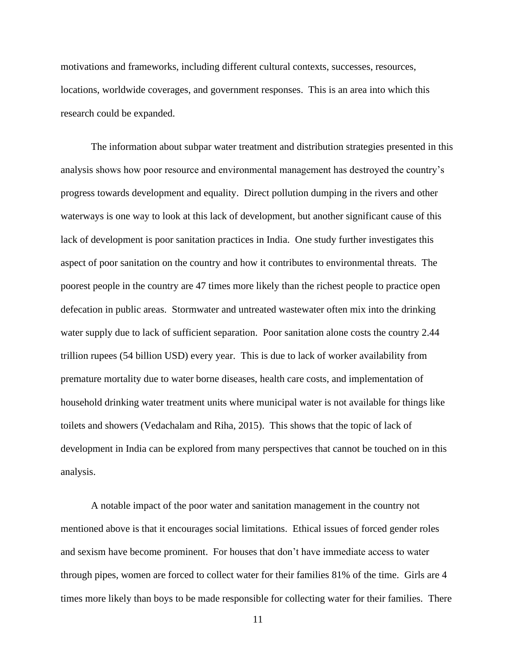motivations and frameworks, including different cultural contexts, successes, resources, locations, worldwide coverages, and government responses. This is an area into which this research could be expanded.

The information about subpar water treatment and distribution strategies presented in this analysis shows how poor resource and environmental management has destroyed the country's progress towards development and equality. Direct pollution dumping in the rivers and other waterways is one way to look at this lack of development, but another significant cause of this lack of development is poor sanitation practices in India. One study further investigates this aspect of poor sanitation on the country and how it contributes to environmental threats. The poorest people in the country are 47 times more likely than the richest people to practice open defecation in public areas. Stormwater and untreated wastewater often mix into the drinking water supply due to lack of sufficient separation. Poor sanitation alone costs the country 2.44 trillion rupees (54 billion USD) every year. This is due to lack of worker availability from premature mortality due to water borne diseases, health care costs, and implementation of household drinking water treatment units where municipal water is not available for things like toilets and showers (Vedachalam and Riha, 2015). This shows that the topic of lack of development in India can be explored from many perspectives that cannot be touched on in this analysis.

 A notable impact of the poor water and sanitation management in the country not mentioned above is that it encourages social limitations. Ethical issues of forced gender roles and sexism have become prominent. For houses that don't have immediate access to water through pipes, women are forced to collect water for their families 81% of the time. Girls are 4 times more likely than boys to be made responsible for collecting water for their families. There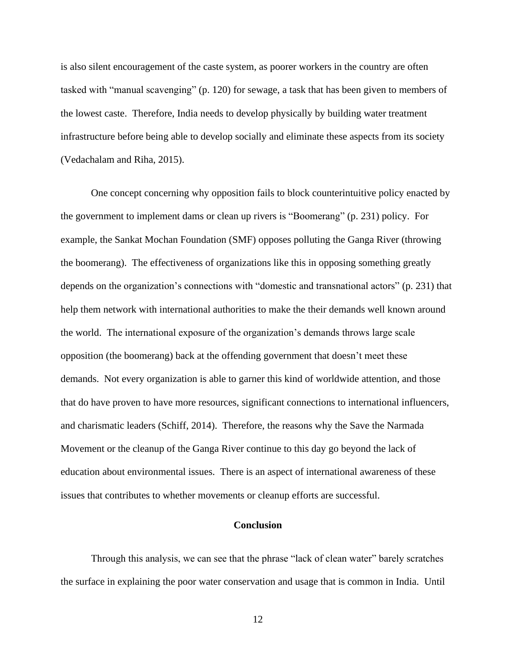is also silent encouragement of the caste system, as poorer workers in the country are often tasked with "manual scavenging" (p. 120) for sewage, a task that has been given to members of the lowest caste. Therefore, India needs to develop physically by building water treatment infrastructure before being able to develop socially and eliminate these aspects from its society (Vedachalam and Riha, 2015).

 One concept concerning why opposition fails to block counterintuitive policy enacted by the government to implement dams or clean up rivers is "Boomerang" (p. 231) policy. For example, the Sankat Mochan Foundation (SMF) opposes polluting the Ganga River (throwing the boomerang). The effectiveness of organizations like this in opposing something greatly depends on the organization's connections with "domestic and transnational actors" (p. 231) that help them network with international authorities to make the their demands well known around the world. The international exposure of the organization's demands throws large scale opposition (the boomerang) back at the offending government that doesn't meet these demands. Not every organization is able to garner this kind of worldwide attention, and those that do have proven to have more resources, significant connections to international influencers, and charismatic leaders (Schiff, 2014). Therefore, the reasons why the Save the Narmada Movement or the cleanup of the Ganga River continue to this day go beyond the lack of education about environmental issues. There is an aspect of international awareness of these issues that contributes to whether movements or cleanup efforts are successful.

### **Conclusion**

 Through this analysis, we can see that the phrase "lack of clean water" barely scratches the surface in explaining the poor water conservation and usage that is common in India. Until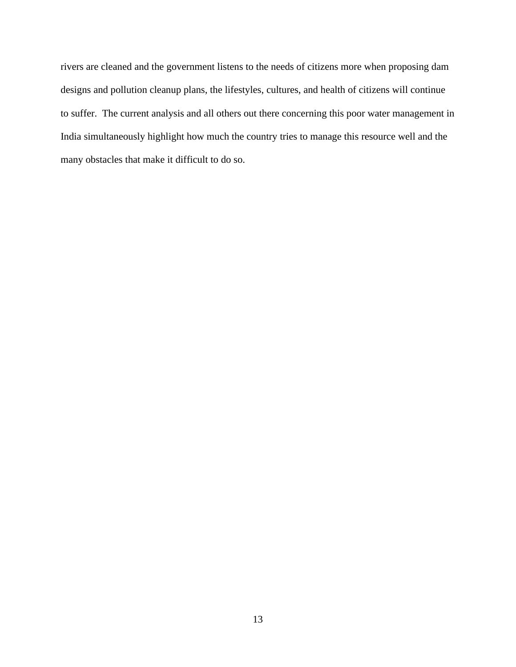rivers are cleaned and the government listens to the needs of citizens more when proposing dam designs and pollution cleanup plans, the lifestyles, cultures, and health of citizens will continue to suffer. The current analysis and all others out there concerning this poor water management in India simultaneously highlight how much the country tries to manage this resource well and the many obstacles that make it difficult to do so.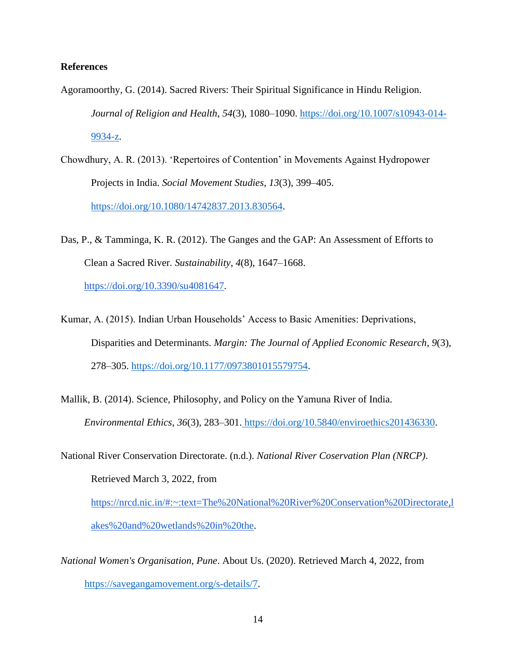# **References**

- Agoramoorthy, G. (2014). Sacred Rivers: Their Spiritual Significance in Hindu Religion. *Journal of Religion and Health*, *54*(3), 1080–1090. [https://doi.org/10.1007/s10943-014-](https://doi.org/10.1007/s10943-014-9934-z) [9934-z.](https://doi.org/10.1007/s10943-014-9934-z)
- Chowdhury, A. R. (2013). 'Repertoires of Contention' in Movements Against Hydropower Projects in India. *Social Movement Studies*, *13*(3), 399–405. [https://doi.org/10.1080/14742837.2013.830564.](https://doi.org/10.1080/14742837.2013.830564)
- Das, P., & Tamminga, K. R. (2012). The Ganges and the GAP: An Assessment of Efforts to Clean a Sacred River. *Sustainability*, *4*(8), 1647–1668[.](https://doi.org/10.3390/su4081647) [https://doi.org/10.3390/su4081647.](https://doi.org/10.3390/su4081647)
- Kumar, A. (2015). Indian Urban Households' Access to Basic Amenities: Deprivations, Disparities and Determinants. *Margin: The Journal of Applied Economic Research*, *9*(3), 278–305. [https://doi.org/10.1177/0973801015579754.](https://doi.org/10.1177/0973801015579754)
- Mallik, B. (2014). Science, Philosophy, and Policy on the Yamuna River of India. *Environmental Ethics*, *36*(3), 283–301. [https://doi.org/10.5840/enviroethics201436330.](https://doi.org/10.5840/enviroethics201436330)
- National River Conservation Directorate. (n.d.). *National River Coservation Plan (NRCP)*. Retrieved March 3, 2022, fro[m](https://nrcd.nic.in/#:~:text=The%20National%20River%20Conservation%20Directorate,lakes%20and%20wetlands%20in%20the) [https://nrcd.nic.in/#:~:text=The%20National%20River%20Conservation%20Directorate,l](https://nrcd.nic.in/#:~:text=The%20National%20River%20Conservation%20Directorate,lakes%20and%20wetlands%20in%20the) [akes%20and%20wetlands%20in%20the.](https://nrcd.nic.in/#:~:text=The%20National%20River%20Conservation%20Directorate,lakes%20and%20wetlands%20in%20the)
- *National Women's Organisation, Pune*. About Us. (2020). Retrieved March 4, 2022, from [https://savegangamovement.org/s-details/7.](https://savegangamovement.org/s-details/7)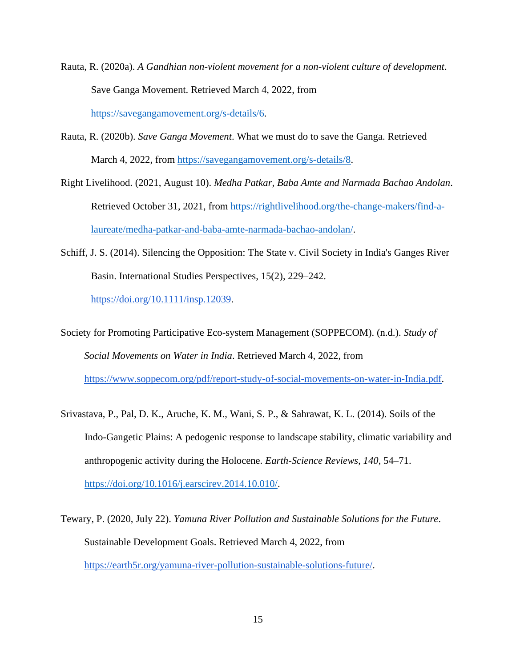- Rauta, R. (2020a). *A Gandhian non-violent movement for a non-violent culture of development*. Save Ganga Movement. Retrieved March 4, 2022, from [https://savegangamovement.org/s-details/6.](https://savegangamovement.org/s-details/6)
- Rauta, R. (2020b). *Save Ganga Movement*. What we must do to save the Ganga. Retrieved March 4, 2022, from [https://savegangamovement.org/s-details/8.](https://savegangamovement.org/s-details/8)
- Right Livelihood. (2021, August 10). *Medha Patkar, Baba Amte and Narmada Bachao Andolan*. Retrieved October 31, 2021, from [https://rightlivelihood.org/the-change-makers/find-a](https://rightlivelihood.org/the-change-makers/find-a-laureate/medha-patkar-and-baba-amte-narmada-bachao-andolan/)[laureate/medha-patkar-and-baba-amte-narmada-bachao-andolan/.](https://rightlivelihood.org/the-change-makers/find-a-laureate/medha-patkar-and-baba-amte-narmada-bachao-andolan/)
- Schiff, J. S. (2014). Silencing the Opposition: The State v. Civil Society in India's Ganges River Basin. International Studies Perspectives, 15(2), 229–242[.](https://doi.org/10.1111/insp.12039)

[https://doi.org/10.1111/insp.12039.](https://doi.org/10.1111/insp.12039)

Society for Promoting Participative Eco-system Management (SOPPECOM). (n.d.). *Study of Social Movements on Water in India*. Retrieved March 4, 2022, fro[m](https://www.soppecom.org/pdf/report-study-of-social-movements-on-water-in-India.pdf) [https://www.soppecom.org/pdf/report-study-of-social-movements-on-water-in-India.pdf.](https://www.soppecom.org/pdf/report-study-of-social-movements-on-water-in-India.pdf)

- Srivastava, P., Pal, D. K., Aruche, K. M., Wani, S. P., & Sahrawat, K. L. (2014). Soils of the Indo-Gangetic Plains: A pedogenic response to landscape stability, climatic variability and anthropogenic activity during the Holocene. *Earth-Science Reviews*, *140*, 54–71. [https://doi.org/10.1016/j.earscirev.2014.10.010/.](https://doi.org/10.1016/j.earscirev.2014.10.010/)
- Tewary, P. (2020, July 22). *Yamuna River Pollution and Sustainable Solutions for the Future*. Sustainable Development Goals. Retrieved March 4, 2022, fro[m](https://earth5r.org/yamuna-river-pollution-sustainable-solutions-future/) [https://earth5r.org/yamuna-river-pollution-sustainable-solutions-future/.](https://earth5r.org/yamuna-river-pollution-sustainable-solutions-future/)